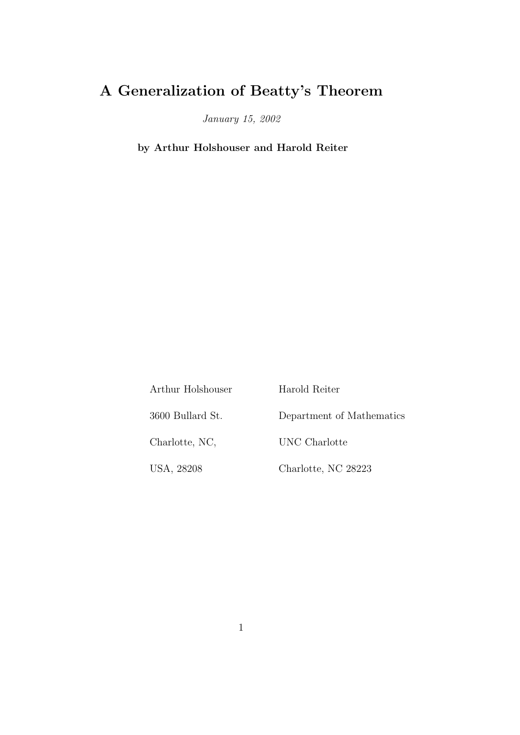## A Generalization of Beatty's Theorem

January 15, 2002

by Arthur Holshouser and Harold Reiter

| Arthur Holshouser | Harold Reiter             |
|-------------------|---------------------------|
| 3600 Bullard St.  | Department of Mathematics |
| Charlotte, NC,    | UNC Charlotte             |
| USA, 28208        | Charlotte, NC 28223       |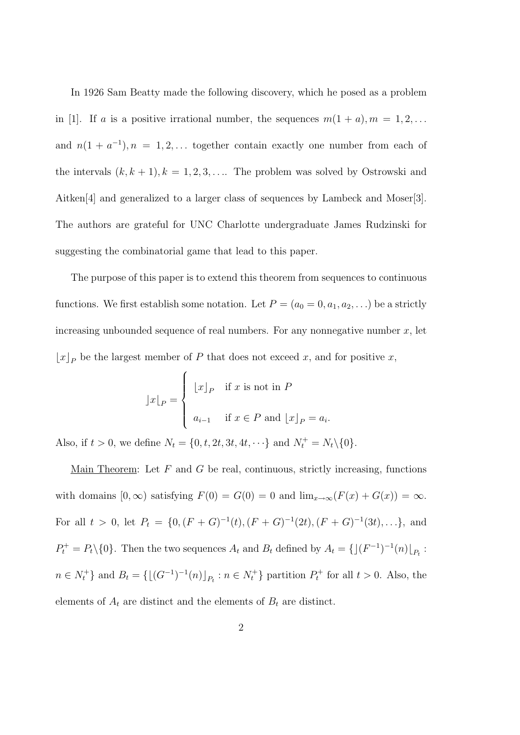In 1926 Sam Beatty made the following discovery, which he posed as a problem in [1]. If a is a positive irrational number, the sequences  $m(1 + a), m = 1, 2, \ldots$ and  $n(1 + a^{-1})$ ,  $n = 1, 2, \ldots$  together contain exactly one number from each of the intervals  $(k, k + 1)$ ,  $k = 1, 2, 3, \ldots$  The problem was solved by Ostrowski and Aitken[4] and generalized to a larger class of sequences by Lambeck and Moser[3]. The authors are grateful for UNC Charlotte undergraduate James Rudzinski for suggesting the combinatorial game that lead to this paper.

The purpose of this paper is to extend this theorem from sequences to continuous functions. We first establish some notation. Let  $P = (a_0 = 0, a_1, a_2, \ldots)$  be a strictly increasing unbounded sequence of real numbers. For any nonnegative number  $x$ , let  $\lfloor x \rfloor_P$  be the largest member of P that does not exceed x, and for positive x,

$$
]x|_P = \begin{cases} [x]_P & \text{if } x \text{ is not in } P \\ a_{i-1} & \text{if } x \in P \text{ and } [x]_P = a_i. \end{cases}
$$

Also, if  $t > 0$ , we define  $N_t = \{0, t, 2t, 3t, 4t, \dots\}$  and  $N_t^+ = N_t \setminus \{0\}.$ 

Main Theorem: Let  $F$  and  $G$  be real, continuous, strictly increasing, functions with domains  $[0, \infty)$  satisfying  $F(0) = G(0) = 0$  and  $\lim_{x \to \infty} (F(x) + G(x)) = \infty$ . For all  $t > 0$ , let  $P_t = \{0, (F+G)^{-1}(t), (F+G)^{-1}(2t), (F+G)^{-1}(3t), \ldots\}$ , and  $P_t^+ = P_t \setminus \{0\}$ . Then the two sequences  $A_t$  and  $B_t$  defined by  $A_t = \{((F^{-1})^{-1}(n)|_{P_t} :$  $n \in N_t^+$  and  $B_t = \{[(G^{-1})^{-1}(n)]_{P_t} : n \in N_t^+\}$  partition  $P_t^+$  for all  $t > 0$ . Also, the elements of  $A_t$  are distinct and the elements of  $B_t$  are distinct.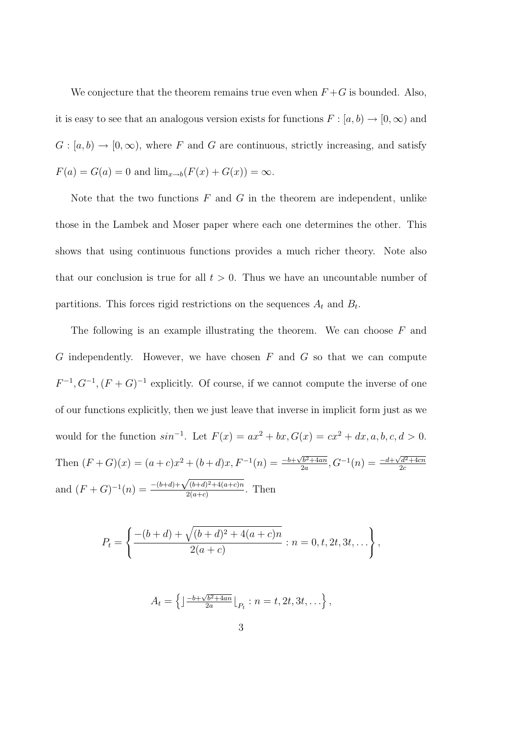We conjecture that the theorem remains true even when  $F+G$  is bounded. Also, it is easy to see that an analogous version exists for functions  $F : [a, b) \rightarrow [0, \infty)$  and  $G : [a, b) \to [0, \infty)$ , where F and G are continuous, strictly increasing, and satisfy  $F(a) = G(a) = 0$  and  $\lim_{x \to b} (F(x) + G(x)) = \infty$ .

Note that the two functions  $F$  and  $G$  in the theorem are independent, unlike those in the Lambek and Moser paper where each one determines the other. This shows that using continuous functions provides a much richer theory. Note also that our conclusion is true for all  $t > 0$ . Thus we have an uncountable number of partitions. This forces rigid restrictions on the sequences  $A_t$  and  $B_t$ .

The following is an example illustrating the theorem. We can choose  $F$  and  $G$  independently. However, we have chosen  $F$  and  $G$  so that we can compute  $F^{-1}, G^{-1}, (F+G)^{-1}$  explicitly. Of course, if we cannot compute the inverse of one of our functions explicitly, then we just leave that inverse in implicit form just as we would for the function  $sin^{-1}$ . Let  $F(x) = ax^2 + bx, G(x) = cx^2 + dx, a, b, c, d > 0$ . Then  $(F+G)(x) = (a+c)x^2 + (b+d)x, F^{-1}(n) = \frac{-b+\sqrt{b^2+4an}}{2a}$  $\frac{\sqrt{b^2+4an}}{2a}$ ,  $G^{-1}(n) = \frac{-d+\sqrt{d^2+4cn}}{2c}$  $2c$ and  $(F+G)^{-1}(n) = \frac{-(b+d)+\sqrt{(b+d)^2+4(a+c)n}}{2(a+c)}$  $\frac{2(a+c)}{2(a+c)}$ . Then

$$
P_t = \left\{ \frac{-(b+d) + \sqrt{(b+d)^2 + 4(a+c)n}}{2(a+c)} : n = 0, t, 2t, 3t, ... \right\},\,
$$

$$
A_t = \left\{ \left| \frac{-b + \sqrt{b^2 + 4an}}{2a} \right|_{P_t} : n = t, 2t, 3t, \ldots \right\},\,
$$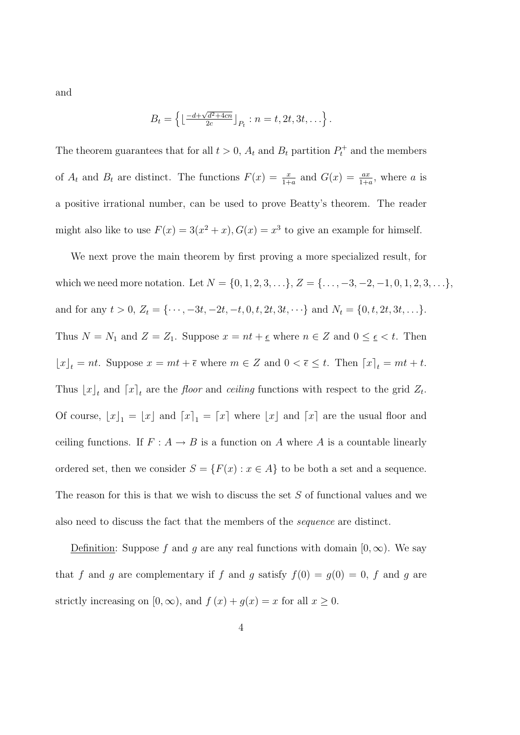and

$$
B_t = \left\{ \left\lfloor \frac{-d + \sqrt{d^2 + 4cn}}{2c} \right\rfloor_{P_t} : n = t, 2t, 3t, \ldots \right\}.
$$

The theorem guarantees that for all  $t > 0$ ,  $A_t$  and  $B_t$  partition  $P_t^+$  and the members of  $A_t$  and  $B_t$  are distinct. The functions  $F(x) = \frac{x}{1+a}$  and  $G(x) = \frac{ax}{1+a}$ , where a is a positive irrational number, can be used to prove Beatty's theorem. The reader might also like to use  $F(x) = 3(x^2 + x)$ ,  $G(x) = x^3$  to give an example for himself.

We next prove the main theorem by first proving a more specialized result, for which we need more notation. Let  $N = \{0, 1, 2, 3, \ldots\}$ ,  $Z = \{\ldots, -3, -2, -1, 0, 1, 2, 3, \ldots\}$ , and for any  $t > 0$ ,  $Z_t = {\cdots, -3t, -2t, -t, 0, t, 2t, 3t, \cdots}$  and  $N_t = \{0, t, 2t, 3t, \cdots\}$ . Thus  $N = N_1$  and  $Z = Z_1$ . Suppose  $x = nt + \epsilon$  where  $n \in Z$  and  $0 \leq \epsilon < t$ . Then  $\lfloor x \rfloor_t = nt$ . Suppose  $x = mt + \overline{\epsilon}$  where  $m \in \mathbb{Z}$  and  $0 < \overline{\epsilon} \leq t$ . Then  $\lceil x \rceil_t = mt + t$ . Thus  $\lfloor x \rfloor_t$  and  $\lceil x \rceil_t$  are the *floor* and *ceiling* functions with respect to the grid  $Z_t$ . Of course,  $\lfloor x \rfloor_1 = \lfloor x \rfloor$  and  $\lceil x \rceil_1 = \lceil x \rceil$  where  $\lfloor x \rfloor$  and  $\lceil x \rceil$  are the usual floor and ceiling functions. If  $F : A \to B$  is a function on A where A is a countable linearly ordered set, then we consider  $S = \{F(x) : x \in A\}$  to be both a set and a sequence. The reason for this is that we wish to discuss the set S of functional values and we also need to discuss the fact that the members of the sequence are distinct.

Definition: Suppose f and g are any real functions with domain  $[0,\infty)$ . We say that f and g are complementary if f and g satisfy  $f(0) = g(0) = 0$ , f and g are strictly increasing on  $[0, \infty)$ , and  $f(x) + g(x) = x$  for all  $x \ge 0$ .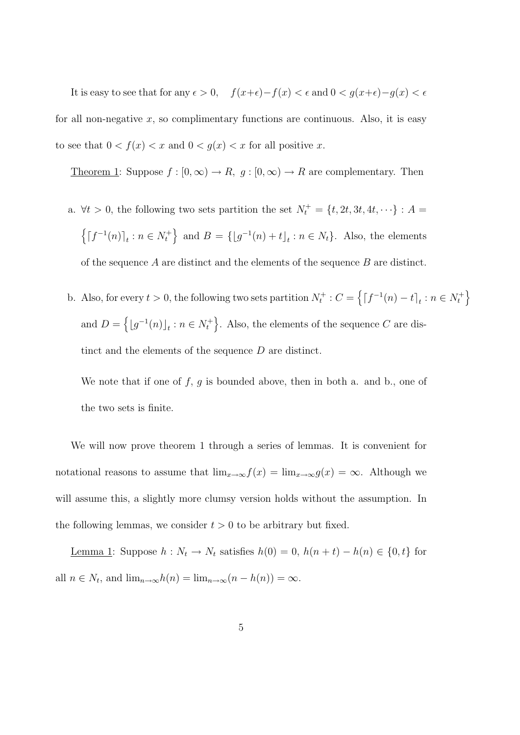It is easy to see that for any  $\epsilon > 0$ ,  $f(x+\epsilon)-f(x) < \epsilon$  and  $0 < g(x+\epsilon)-g(x) < \epsilon$ for all non-negative  $x$ , so complimentary functions are continuous. Also, it is easy to see that  $0 < f(x) < x$  and  $0 < g(x) < x$  for all positive x.

Theorem 1: Suppose  $f : [0, \infty) \to R$ ,  $g : [0, \infty) \to R$  are complementary. Then

- a.  $\forall t > 0$ , the following two sets partition the set  $N_t^+ = \{t, 2t, 3t, 4t, \dots\} : A =$  $\left\{ \left\lceil f^{-1}(n)\right\rceil_t : n \in N_t^+ \right\}$  and  $B = \left\{ \left\lfloor g^{-1}(n) + t\right\rfloor_t : n \in N_t \right\}$ . Also, the elements of the sequence  $A$  are distinct and the elements of the sequence  $B$  are distinct.
- b. Also, for every  $t > 0$ , the following two sets partition  $N_t^+$  :  $C = \left\{ \lceil f^{-1}(n) t \rceil_t : n \in N_t^+ \right\}$ and  $D = \left\{ \lfloor g^{-1}(n) \rfloor_t : n \in N_t^+ \right\}$ . Also, the elements of the sequence C are distinct and the elements of the sequence D are distinct.

We note that if one of  $f, g$  is bounded above, then in both a. and b., one of the two sets is finite.

We will now prove theorem 1 through a series of lemmas. It is convenient for notational reasons to assume that  $\lim_{x\to\infty} f(x) = \lim_{x\to\infty} g(x) = \infty$ . Although we will assume this, a slightly more clumsy version holds without the assumption. In the following lemmas, we consider  $t > 0$  to be arbitrary but fixed.

<u>Lemma 1</u>: Suppose  $h: N_t \to N_t$  satisfies  $h(0) = 0$ ,  $h(n + t) - h(n) \in \{0, t\}$  for all  $n \in N_t$ , and  $\lim_{n \to \infty} h(n) = \lim_{n \to \infty} (n - h(n)) = \infty$ .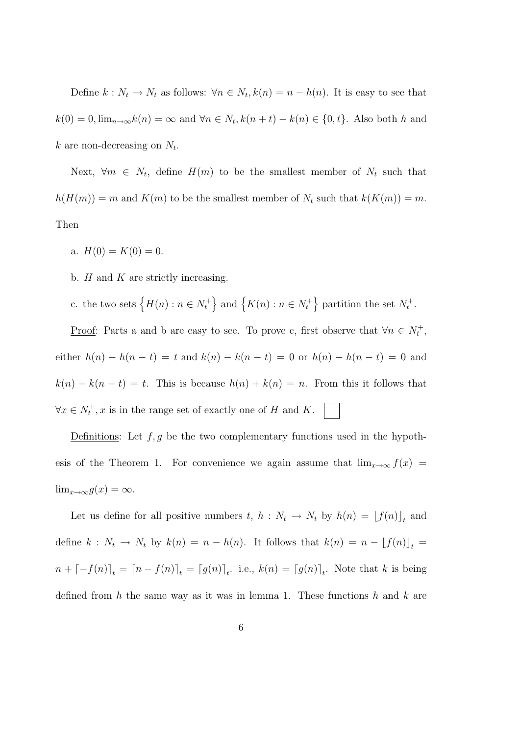Define  $k: N_t \to N_t$  as follows:  $\forall n \in N_t, k(n) = n - h(n)$ . It is easy to see that  $k(0) = 0$ ,  $\lim_{n \to \infty} k(n) = \infty$  and  $\forall n \in N_t$ ,  $k(n + t) - k(n) \in \{0, t\}$ . Also both h and  $k$  are non-decreasing on  $N_t$ .

Next,  $\forall m \in N_t$ , define  $H(m)$  to be the smallest member of  $N_t$  such that  $h(H(m)) = m$  and  $K(m)$  to be the smallest member of  $N_t$  such that  $k(K(m)) = m$ . Then

- a.  $H(0) = K(0) = 0$ .
- b.  $H$  and  $K$  are strictly increasing.
- c. the two sets  $\{H(n) : n \in N_t^+\}$  and  $\{K(n) : n \in N_t^+\}$  partition the set  $N_t^+$ .

<u>Proof</u>: Parts a and b are easy to see. To prove c, first observe that  $\forall n \in N_t^+$ , either  $h(n) - h(n - t) = t$  and  $k(n) - k(n - t) = 0$  or  $h(n) - h(n - t) = 0$  and  $k(n) - k(n - t) = t$ . This is because  $h(n) + k(n) = n$ . From this it follows that  $\forall x \in N_t^+, x$  is in the range set of exactly one of H and K.

Definitions: Let  $f, g$  be the two complementary functions used in the hypothesis of the Theorem 1. For convenience we again assume that  $\lim_{x\to\infty} f(x) =$  $\lim_{x\to\infty} g(x) = \infty.$ 

Let us define for all positive numbers  $t, h: N_t \to N_t$  by  $h(n) = [f(n)]_t$  and define  $k : N_t \to N_t$  by  $k(n) = n - h(n)$ . It follows that  $k(n) = n - \lfloor f(n) \rfloor_t$  $n + \lfloor -f(n) \rfloor_t = \lfloor n - f(n) \rfloor_t = \lfloor g(n) \rfloor_t$ . i.e.,  $k(n) = \lfloor g(n) \rfloor_t$ . Note that k is being defined from h the same way as it was in lemma 1. These functions h and  $k$  are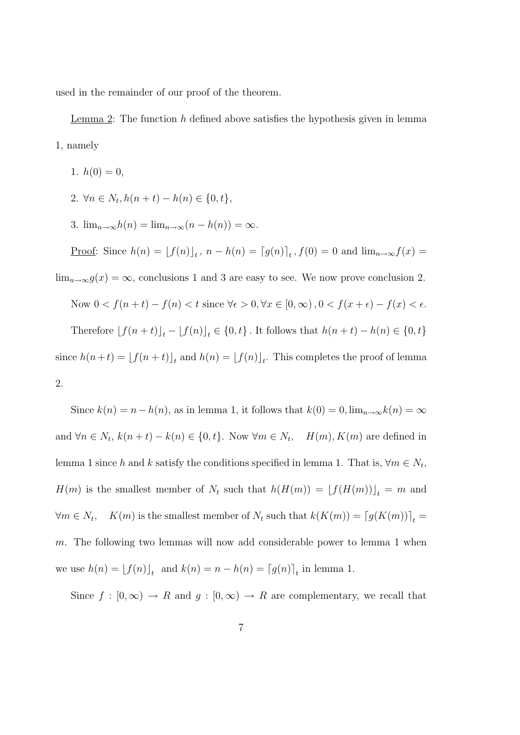used in the remainder of our proof of the theorem.

Lemma 2: The function  $h$  defined above satisfies the hypothesis given in lemma 1, namely

- 1.  $h(0) = 0$ ,
- 2.  $\forall n \in N_t, h(n+t) h(n) \in \{0, t\},\$
- 3.  $\lim_{n\to\infty}h(n) = \lim_{n\to\infty}(n-h(n)) = \infty$ .

Proof: Since 
$$
h(n) = [f(n)]_t
$$
,  $n - h(n) = [g(n)]_t$ ,  $f(0) = 0$  and  $\lim_{n \to \infty} f(x) =$ 

 $\lim_{n\to\infty} g(x) = \infty$ , conclusions 1 and 3 are easy to see. We now prove conclusion 2.

Now 
$$
0 < f(n+t) - f(n) < t
$$
 since  $\forall \epsilon > 0, \forall x \in [0, \infty), 0 < f(x+\epsilon) - f(x) < \epsilon$ . Therefore  $[f(n+t)]_t - [f(n)]_t \in \{0, t\}$ . It follows that  $h(n+t) - h(n) \in \{0, t\}$  since  $h(n+t) = [f(n+t)]_t$  and  $h(n) = [f(n)]_t$ . This completes the proof of lemma 2.

Since  $k(n) = n - h(n)$ , as in lemma 1, it follows that  $k(0) = 0$ ,  $\lim_{n \to \infty} k(n) = \infty$ and  $\forall n \in N_t$ ,  $k(n+t) - k(n) \in \{0, t\}$ . Now  $\forall m \in N_t$ ,  $H(m)$ ,  $K(m)$  are defined in lemma 1 since h and k satisfy the conditions specified in lemma 1. That is,  $\forall m \in N_t$ ,  $H(m)$  is the smallest member of  $N_t$  such that  $h(H(m)) = [f(H(m))]_t = m$  and  $\forall m \in N_t, \quad K(m)$  is the smallest member of  $N_t$  such that  $k(K(m)) = [g(K(m))]_t =$ m. The following two lemmas will now add considerable power to lemma 1 when we use  $h(n) = \lfloor f(n) \rfloor_t$  and  $k(n) = n - h(n) = \lfloor g(n) \rfloor_t$  in lemma 1.

Since  $f : [0, \infty) \to R$  and  $g : [0, \infty) \to R$  are complementary, we recall that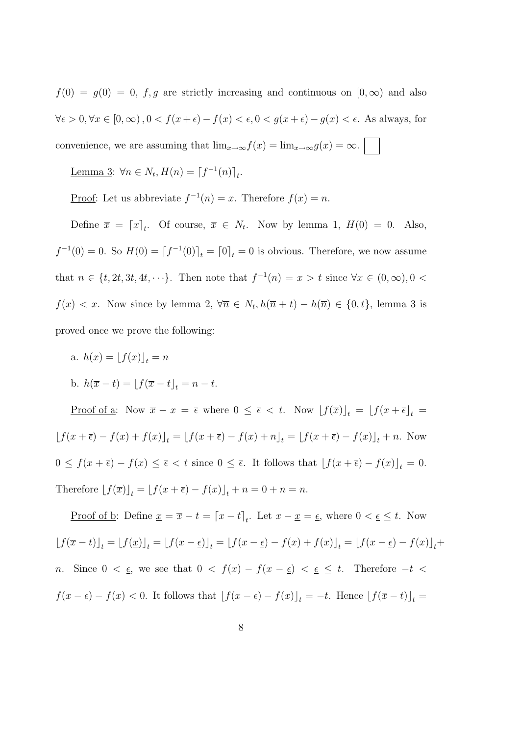$f(0) = g(0) = 0$ , f, g are strictly increasing and continuous on  $[0, \infty)$  and also  $\forall \epsilon > 0, \forall x \in [0, \infty), 0 < f(x + \epsilon) - f(x) < \epsilon, 0 < g(x + \epsilon) - g(x) < \epsilon$ . As always, for convenience, we are assuming that  $\lim_{x\to\infty} f(x) = \lim_{x\to\infty} g(x) = \infty$ .

Lemma 3:  $\forall n \in N_t, H(n) = \lceil f^{-1}(n) \rceil_t.$ 

Proof: Let us abbreviate  $f^{-1}(n) = x$ . Therefore  $f(x) = n$ .

Define  $\bar{x} = [x]_t$ . Of course,  $\bar{x} \in N_t$ . Now by lemma 1,  $H(0) = 0$ . Also,  $f^{-1}(0) = 0$ . So  $H(0) = [f^{-1}(0)]_t = [0]_t = 0$  is obvious. Therefore, we now assume that  $n \in \{t, 2t, 3t, 4t, \dots\}$ . Then note that  $f^{-1}(n) = x > t$  since  $\forall x \in (0, \infty), 0 <$  $f(x) < x$ . Now since by lemma 2,  $\forall \overline{n} \in N_t, h(\overline{n} + t) - h(\overline{n}) \in \{0, t\}$ , lemma 3 is proved once we prove the following:

a.  $h(\overline{x}) = |f(\overline{x})|_t = n$ b.  $h(\bar{x} - t) = |f(\bar{x} - t)| = n - t.$ 

<u>Proof of a</u>: Now  $\overline{x} - x = \overline{\epsilon}$  where  $0 \leq \overline{\epsilon} < t$ . Now  $[f(\overline{x})]_t = [f(x + \overline{\epsilon}]_t =$  $[f(x + \overline{\epsilon}) - f(x) + f(x)]_t = [f(x + \overline{\epsilon}) - f(x) + n]_t = [f(x + \overline{\epsilon}) - f(x)]_t + n.$  Now  $0 \le f(x + \overline{\epsilon}) - f(x) \le \overline{\epsilon} < t$  since  $0 \le \overline{\epsilon}$ . It follows that  $[f(x + \overline{\epsilon}) - f(x)]_t = 0$ . Therefore  $[f(\overline{x})]_t = [f(x + \overline{\epsilon}) - f(x)]_t + n = 0 + n = n$ .

<u>Proof of b</u>: Define  $\underline{x} = \overline{x} - t = \left[x - t\right]_t$ . Let  $x - \underline{x} = \underline{\epsilon}$ , where  $0 < \underline{\epsilon} \leq t$ . Now  $[f(\overline{x} - t)]_t = [f(\underline{x})]_t = [f(x - \underline{\epsilon})]_t = [f(x - \underline{\epsilon}) - f(x) + f(x)]_t = [f(x - \underline{\epsilon}) - f(x)]_t +$ n. Since  $0 < \underline{\epsilon}$ , we see that  $0 < f(x) - f(x - \underline{\epsilon}) < \underline{\epsilon} \leq t$ . Therefore  $-t$  $f(x - \underline{\epsilon}) - f(x) < 0$ . It follows that  $[f(x - \underline{\epsilon}) - f(x)]_t = -t$ . Hence  $[f(\overline{x} - t)]_t =$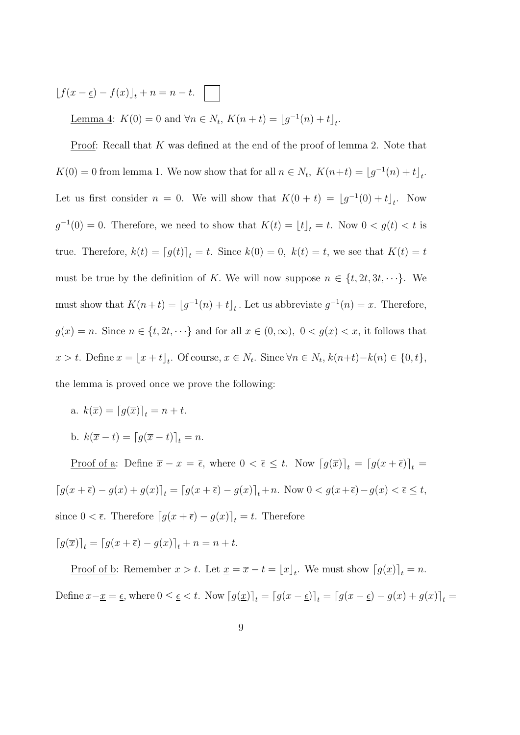$\left[f(x-\underline{\epsilon}) - f(x)\right]_t + n = n - t.$ 

Lemma 4:  $K(0) = 0$  and  $\forall n \in N_t$ ,  $K(n + t) = [g^{-1}(n) + t]_t$ .

<u>Proof</u>: Recall that  $K$  was defined at the end of the proof of lemma 2. Note that  $K(0) = 0$  from lemma 1. We now show that for all  $n \in N_t$ ,  $K(n+t) = \lfloor g^{-1}(n) + t \rfloor_t$ . Let us first consider  $n = 0$ . We will show that  $K(0 + t) = [g^{-1}(0) + t]_t$ . Now  $g^{-1}(0) = 0$ . Therefore, we need to show that  $K(t) = \lfloor t \rfloor_t = t$ . Now  $0 < g(t) < t$  is true. Therefore,  $k(t) = [g(t)]_t = t$ . Since  $k(0) = 0$ ,  $k(t) = t$ , we see that  $K(t) = t$ must be true by the definition of K. We will now suppose  $n \in \{t, 2t, 3t, \dots\}$ . We must show that  $K(n+t) = \lfloor g^{-1}(n) + t \rfloor_t$ . Let us abbreviate  $g^{-1}(n) = x$ . Therefore,  $g(x) = n$ . Since  $n \in \{t, 2t, \dots\}$  and for all  $x \in (0, \infty)$ ,  $0 < g(x) < x$ , it follows that  $x > t$ . Define  $\overline{x} = \lfloor x + t \rfloor_t$ . Of course,  $\overline{x} \in N_t$ . Since  $\forall \overline{n} \in N_t$ ,  $k(\overline{n}+t) - k(\overline{n}) \in \{0, t\}$ , the lemma is proved once we prove the following:

- a.  $k(\overline{x}) = \left[g(\overline{x})\right]_t = n + t$ .
- b.  $k(\overline{x} t) = \lfloor g(\overline{x} t) \rfloor_t = n.$

<u>Proof of a</u>: Define  $\bar{x} - x = \bar{\epsilon}$ , where  $0 < \bar{\epsilon} \leq t$ . Now  $\left[g(\bar{x})\right]_t = \left[g(x + \bar{\epsilon})\right]_t$  $\left\lceil g(x+\overline{\epsilon}) - g(x) + g(x) \right\rceil_t = \left\lceil g(x+\overline{\epsilon}) - g(x) \right\rceil_t + n.$  Now  $0 < g(x+\overline{\epsilon}) - g(x) < \overline{\epsilon} \leq t$ , since  $0 < \bar{\epsilon}$ . Therefore  $\left[g(x + \bar{\epsilon}) - g(x)\right]_t = t$ . Therefore

 $\lceil g(\overline{x}) \rceil_t = \lceil g(x + \overline{\epsilon}) - g(x) \rceil_t + n = n + t.$ 

Proof of b: Remember  $x > t$ . Let  $\underline{x} = \overline{x} - t = \lfloor x \rfloor_t$ . We must show  $\lceil g(\underline{x}) \rceil_t = n$ . Define  $x-\underline{x} = \underline{\epsilon}$ , where  $0 \le \underline{\epsilon} < t$ . Now  $[g(\underline{x})]_t = [g(x-\underline{\epsilon})]_t = [g(x-\underline{\epsilon}) - g(x) + g(x)]_t =$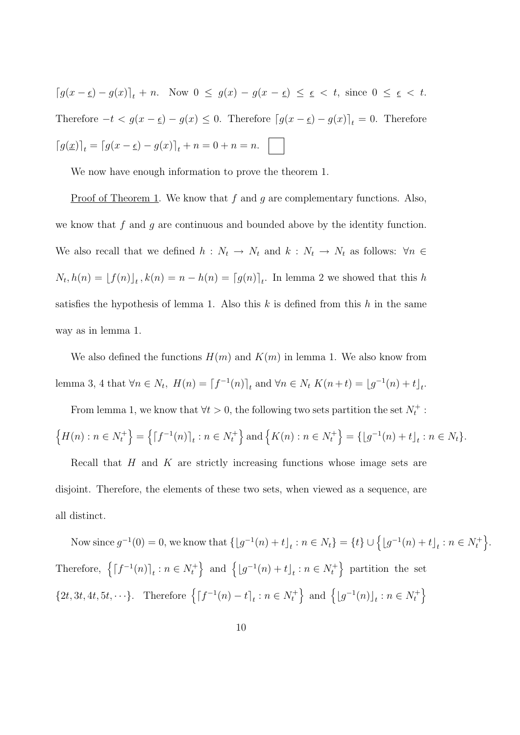$\left[g(x-\underline{\epsilon})-g(x)\right]_t + n$ . Now  $0 \leq g(x)-g(x-\underline{\epsilon}) \leq \underline{\epsilon} < t$ , since  $0 \leq \underline{\epsilon} < t$ . Therefore  $-t < g(x - \epsilon) - g(x) \leq 0$ . Therefore  $[g(x - \epsilon) - g(x)]_t = 0$ . Therefore  $[g(\underline{x})]_t = [g(x - \underline{\epsilon}) - g(x)]_t + n = 0 + n = n.$ 

We now have enough information to prove the theorem 1.

<u>Proof of Theorem 1</u>. We know that f and g are complementary functions. Also, we know that f and q are continuous and bounded above by the identity function. We also recall that we defined  $h : N_t \to N_t$  and  $k : N_t \to N_t$  as follows:  $\forall n \in \mathbb{R}$  $N_t, h(n) = \lfloor f(n) \rfloor_t, k(n) = n - h(n) = \lfloor g(n) \rfloor_t$ . In lemma 2 we showed that this h satisfies the hypothesis of lemma 1. Also this  $k$  is defined from this  $h$  in the same way as in lemma 1.

We also defined the functions  $H(m)$  and  $K(m)$  in lemma 1. We also know from lemma 3, 4 that  $\forall n \in N_t$ ,  $H(n) = [f^{-1}(n)]_t$  and  $\forall n \in N_t$   $K(n+t) = [g^{-1}(n) + t]_t$ .

From lemma 1, we know that  $\forall t > 0$ , the following two sets partition the set  $N_t^+$ :  $\left\{H(n) : n \in N_t^+\right\} = \left\{\left\lceil f^{-1}(n)\right\rceil_t : n \in N_t^+\right\}$  and  $\left\{K(n) : n \in N_t^+\right\} = \left\{\left\lfloor g^{-1}(n) + t\right\rfloor_t : n \in N_t\right\}.$ 

Recall that  $H$  and  $K$  are strictly increasing functions whose image sets are disjoint. Therefore, the elements of these two sets, when viewed as a sequence, are

all distinct.

Now since  $g^{-1}(0) = 0$ , we know that  $\{ [g^{-1}(n) + t]_t : n \in N_t \} = \{ t \} \cup \{ [g^{-1}(n) + t]_t : n \in N_t^+ \}$ . Therefore,  $\left\{ \left[ f^{-1}(n) \right]_t : n \in N_t^+ \right\}$  and  $\left\{ \left[ g^{-1}(n) + t \right]_t : n \in N_t^+ \right\}$  partition the set  $\{2t, 3t, 4t, 5t, \dots\}$ . Therefore  $\{[f^{-1}(n) - t]_t : n \in N_t^+\}$  and  $\{[g^{-1}(n)]_t : n \in N_t^+\}$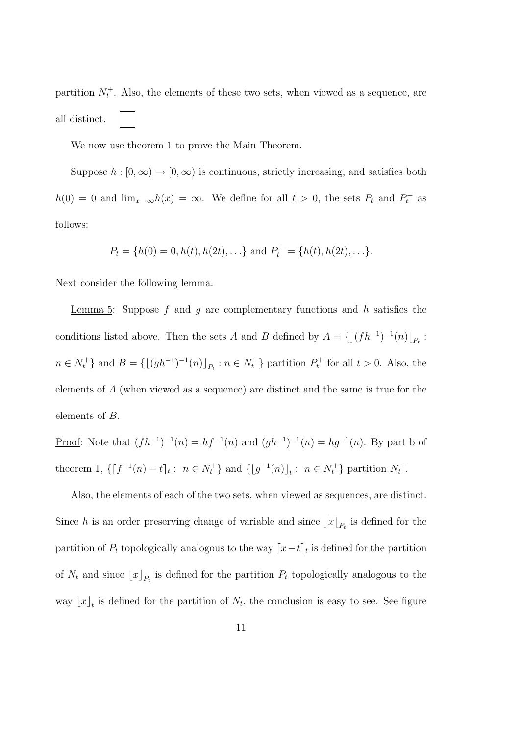partition  $N_t^+$ . Also, the elements of these two sets, when viewed as a sequence, are all distinct.

We now use theorem 1 to prove the Main Theorem.

Suppose  $h : [0, \infty) \to [0, \infty)$  is continuous, strictly increasing, and satisfies both  $h(0) = 0$  and  $\lim_{x\to\infty} h(x) = \infty$ . We define for all  $t > 0$ , the sets  $P_t$  and  $P_t^+$  as follows:

$$
P_t = \{h(0) = 0, h(t), h(2t), \ldots\}
$$
 and  $P_t^+ = \{h(t), h(2t), \ldots\}.$ 

Next consider the following lemma.

Lemma 5: Suppose f and g are complementary functions and h satisfies the conditions listed above. Then the sets A and B defined by  $A = \{[(fh^{-1})^{-1}(n)]_{P_t}$ :  $n \in N_t^+$  and  $B = \{[(gh^{-1})^{-1}(n)]_{P_t} : n \in N_t^+\}$  partition  $P_t^+$  for all  $t > 0$ . Also, the elements of A (when viewed as a sequence) are distinct and the same is true for the elements of B.

Proof: Note that  $(fh^{-1})^{-1}(n) = hf^{-1}(n)$  and  $(gh^{-1})^{-1}(n) = hg^{-1}(n)$ . By part b of theorem 1,  $\{[f^{-1}(n) - t]_t : n \in N_t^+\}$  and  $\{[g^{-1}(n)]_t : n \in N_t^+\}$  partition  $N_t^+$ .

Also, the elements of each of the two sets, when viewed as sequences, are distinct. Since h is an order preserving change of variable and since  $\lfloor x \rfloor_{P_t}$  is defined for the partition of  $P_t$  topologically analogous to the way  $\lceil x-t \rceil_t$  is defined for the partition of  $N_t$  and since  $\lfloor x \rfloor_{P_t}$  is defined for the partition  $P_t$  topologically analogous to the way  $\lfloor x \rfloor_t$  is defined for the partition of  $N_t$ , the conclusion is easy to see. See figure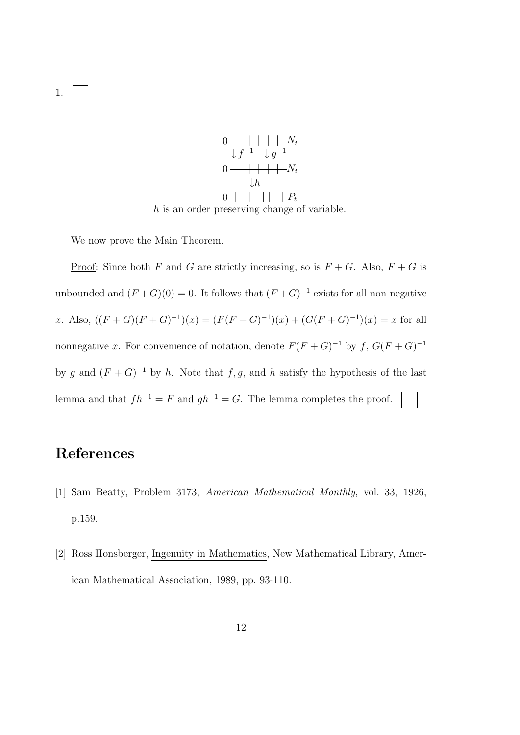

We now prove the Main Theorem.

<u>Proof</u>: Since both F and G are strictly increasing, so is  $F + G$ . Also,  $F + G$  is unbounded and  $(F+G)(0) = 0$ . It follows that  $(F+G)^{-1}$  exists for all non-negative x. Also,  $((F+G)(F+G)^{-1})(x) = (F(F+G)^{-1})(x) + (G(F+G)^{-1})(x) = x$  for all nonnegative x. For convenience of notation, denote  $F(F+G)^{-1}$  by f,  $G(F+G)^{-1}$ by g and  $(F+G)^{-1}$  by h. Note that f, g, and h satisfy the hypothesis of the last lemma and that  $fh^{-1} = F$  and  $gh^{-1} = G$ . The lemma completes the proof.

## References

- [1] Sam Beatty, Problem 3173, American Mathematical Monthly, vol. 33, 1926, p.159.
- [2] Ross Honsberger, Ingenuity in Mathematics, New Mathematical Library, American Mathematical Association, 1989, pp. 93-110.

1.